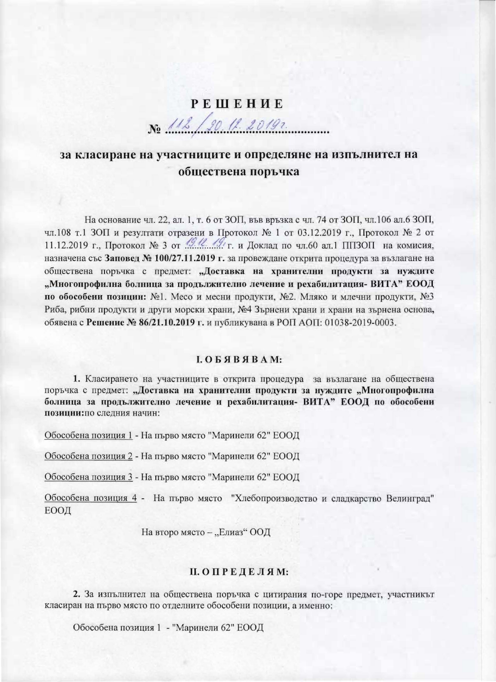# **РЕШЕНИЕ** No 112/20 11. 2019.

## за класиране на участниците и определяне на изпълнител на обществена поръчка

На основание чл. 22, ал. 1, т. 6 от ЗОП, във връзка с чл. 74 от ЗОП, чл.106 ал.6 ЗОП, чл.108 т.1 ЗОП и резултати отразени в Протокол № 1 от 03.12.2019 г., Протокол № 2 от 11.12.2019 г., Протокол № 3 от 49.12. А.У. г. и Доклад по чл.60 ал.1 ППЗОП на комисия, назначена със Заповед № 100/27.11.2019 г. за провеждане открита процедура за възлагане на обществена поръчка с предмет: "Доставка на хранителни продукти за нуждите "Многопрофилна болница за продължително лечение и рехабилитация- ВИТА" ЕООД по обособени позиции: №1. Месо и месни продукти, №2. Мляко и млечни продукти, №3 Риба, рибни продукти и други морски храни, №4 Зърнени храни и храни на зърнена основа, обявена с Решение № 86/21.10.2019 г. и публикувана в РОП АОП: 01038-2019-0003.

#### $I. O. B. A. B. A. M:$

1. Класирането на участниците в открита процедура за възлагане на обществена поръчка с предмет: "Доставка на хранителни продукти за нуждите "Многопрофилна болница за продължително лечение и рехабилитация- ВИТА" ЕООД по обособени позиции: по следния начин:

Обособена позиция 1 - На първо място "Маринели 62" ЕООД

Обособена позиция 2 - На първо място "Маринели 62" ЕООД

Обособена позиция 3 - На първо място "Маринели 62" ЕООД

Обособена позиция 4 - На първо място "Хлебопроизводство и сладкарство Велинград" ЕООД

На второ място - "Елиаз" ООД

#### П. ОПРЕДЕЛЯМ:

2. За изпълнител на обществена поръчка с цитирания по-горе предмет, участникът класиран на първо място по отделните обособени позиции, а именно:

Обособена позиция 1 - "Маринели 62" ЕООД